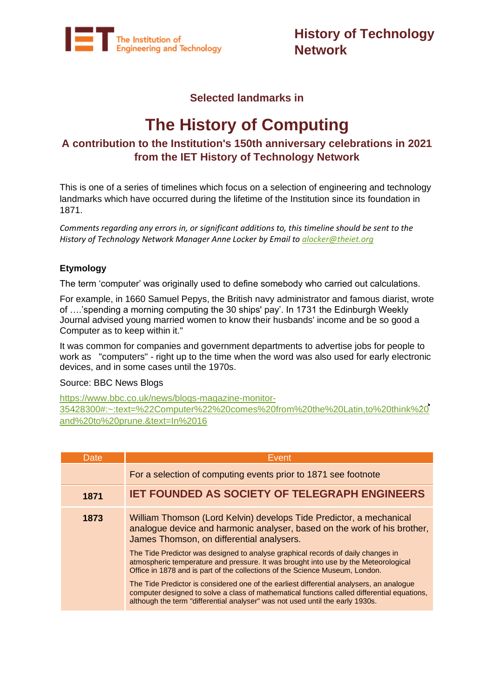

#### **Selected landmarks in**

# **The History of Computing**

#### **A contribution to the Institution's 150th anniversary celebrations in 2021 from the IET History of Technology Network**

This is one of a series of timelines which focus on a selection of engineering and technology landmarks which have occurred during the lifetime of the Institution since its foundation in 1871.

*Comments regarding any errors in, or significant additions to, this timeline should be sent to the History of Technology Network Manager Anne Locker by Email to [alocker@theiet.org](mailto:alocker@theiet.org)*

#### **Etymology**

The term 'computer' was originally used to define somebody who carried out calculations.

For example, in 1660 Samuel Pepys, the British navy administrator and famous diarist, wrote of ….'spending a morning computing the 30 ships' pay'. In 1731 the Edinburgh Weekly Journal advised young married women to know their husbands' income and be so good a Computer as to keep within it."

It was common for companies and government departments to advertise jobs for people to work as "computers" - right up to the time when the word was also used for early electronic devices, and in some cases until the 1970s.

#### Source: BBC News Blogs

https://www.bbc.co.uk/news/blogs-magazine-monitor-35428300#:~:text=%22Computer%22%20comes%20from%20the%20Latin,to%20think%20 and%20to%20prune.&text=In%2016

| Date | Event                                                                                                                                                                                                                                                                                                                                                                                                                                                   |
|------|---------------------------------------------------------------------------------------------------------------------------------------------------------------------------------------------------------------------------------------------------------------------------------------------------------------------------------------------------------------------------------------------------------------------------------------------------------|
|      | For a selection of computing events prior to 1871 see footnote                                                                                                                                                                                                                                                                                                                                                                                          |
| 1871 | <b>IET FOUNDED AS SOCIETY OF TELEGRAPH ENGINEERS</b>                                                                                                                                                                                                                                                                                                                                                                                                    |
| 1873 | William Thomson (Lord Kelvin) develops Tide Predictor, a mechanical<br>analogue device and harmonic analyser, based on the work of his brother,<br>James Thomson, on differential analysers.<br>The Tide Predictor was designed to analyse graphical records of daily changes in<br>atmospheric temperature and pressure. It was brought into use by the Meteorological<br>Office in 1878 and is part of the collections of the Science Museum, London. |
|      | The Tide Predictor is considered one of the earliest differential analysers, an analogue<br>computer designed to solve a class of mathematical functions called differential equations,<br>although the term "differential analyser" was not used until the early 1930s.                                                                                                                                                                                |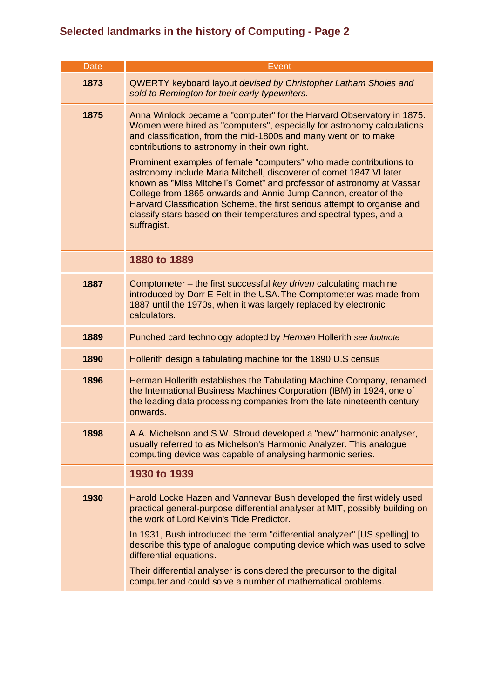| <b>Date</b> | Event                                                                                                                                                                                                                                                                                                                                                                                                                                                                                                                                                                                                                                                                                                                            |
|-------------|----------------------------------------------------------------------------------------------------------------------------------------------------------------------------------------------------------------------------------------------------------------------------------------------------------------------------------------------------------------------------------------------------------------------------------------------------------------------------------------------------------------------------------------------------------------------------------------------------------------------------------------------------------------------------------------------------------------------------------|
| 1873        | <b>QWERTY keyboard layout devised by Christopher Latham Sholes and</b><br>sold to Remington for their early typewriters.                                                                                                                                                                                                                                                                                                                                                                                                                                                                                                                                                                                                         |
| 1875        | Anna Winlock became a "computer" for the Harvard Observatory in 1875.<br>Women were hired as "computers", especially for astronomy calculations<br>and classification, from the mid-1800s and many went on to make<br>contributions to astronomy in their own right.<br>Prominent examples of female "computers" who made contributions to<br>astronomy include Maria Mitchell, discoverer of comet 1847 VI later<br>known as "Miss Mitchell's Comet" and professor of astronomy at Vassar<br>College from 1865 onwards and Annie Jump Cannon, creator of the<br>Harvard Classification Scheme, the first serious attempt to organise and<br>classify stars based on their temperatures and spectral types, and a<br>suffragist. |
|             | 1880 to 1889                                                                                                                                                                                                                                                                                                                                                                                                                                                                                                                                                                                                                                                                                                                     |
| 1887        | Comptometer – the first successful key driven calculating machine<br>introduced by Dorr E Felt in the USA. The Comptometer was made from<br>1887 until the 1970s, when it was largely replaced by electronic<br>calculators.                                                                                                                                                                                                                                                                                                                                                                                                                                                                                                     |
| 1889        | Punched card technology adopted by Herman Hollerith see footnote                                                                                                                                                                                                                                                                                                                                                                                                                                                                                                                                                                                                                                                                 |
| 1890        | Hollerith design a tabulating machine for the 1890 U.S census                                                                                                                                                                                                                                                                                                                                                                                                                                                                                                                                                                                                                                                                    |
| 1896        | Herman Hollerith establishes the Tabulating Machine Company, renamed<br>the International Business Machines Corporation (IBM) in 1924, one of<br>the leading data processing companies from the late nineteenth century<br>onwards.                                                                                                                                                                                                                                                                                                                                                                                                                                                                                              |
| 1898        | A.A. Michelson and S.W. Stroud developed a "new" harmonic analyser,<br>usually referred to as Michelson's Harmonic Analyzer. This analogue<br>computing device was capable of analysing harmonic series.                                                                                                                                                                                                                                                                                                                                                                                                                                                                                                                         |
|             | 1930 to 1939                                                                                                                                                                                                                                                                                                                                                                                                                                                                                                                                                                                                                                                                                                                     |
| 1930        | Harold Locke Hazen and Vannevar Bush developed the first widely used<br>practical general-purpose differential analyser at MIT, possibly building on<br>the work of Lord Kelvin's Tide Predictor.<br>In 1931, Bush introduced the term "differential analyzer" [US spelling] to<br>describe this type of analogue computing device which was used to solve<br>differential equations.<br>Their differential analyser is considered the precursor to the digital<br>computer and could solve a number of mathematical problems.                                                                                                                                                                                                   |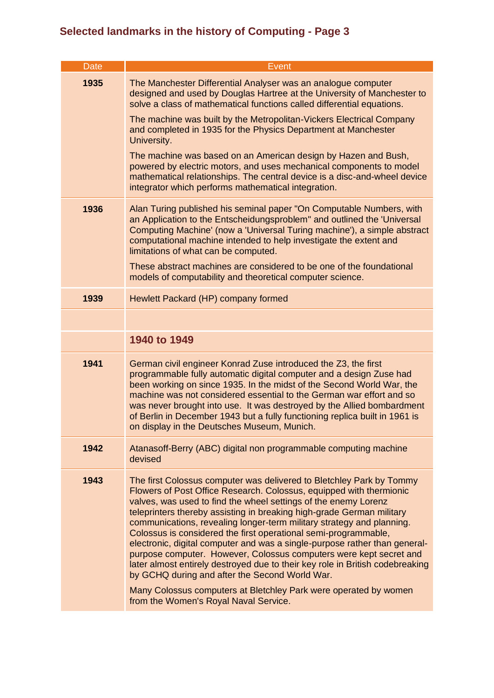| Date | Event                                                                                                                                                                                                                                                                                                                                                                                                                                                                                                                                                                                                                                                                                                                                                                                          |
|------|------------------------------------------------------------------------------------------------------------------------------------------------------------------------------------------------------------------------------------------------------------------------------------------------------------------------------------------------------------------------------------------------------------------------------------------------------------------------------------------------------------------------------------------------------------------------------------------------------------------------------------------------------------------------------------------------------------------------------------------------------------------------------------------------|
| 1935 | The Manchester Differential Analyser was an analogue computer<br>designed and used by Douglas Hartree at the University of Manchester to<br>solve a class of mathematical functions called differential equations.                                                                                                                                                                                                                                                                                                                                                                                                                                                                                                                                                                             |
|      | The machine was built by the Metropolitan-Vickers Electrical Company<br>and completed in 1935 for the Physics Department at Manchester<br>University.                                                                                                                                                                                                                                                                                                                                                                                                                                                                                                                                                                                                                                          |
|      | The machine was based on an American design by Hazen and Bush,<br>powered by electric motors, and uses mechanical components to model<br>mathematical relationships. The central device is a disc-and-wheel device<br>integrator which performs mathematical integration.                                                                                                                                                                                                                                                                                                                                                                                                                                                                                                                      |
| 1936 | Alan Turing published his seminal paper "On Computable Numbers, with<br>an Application to the Entscheidungsproblem" and outlined the 'Universal<br>Computing Machine' (now a 'Universal Turing machine'), a simple abstract<br>computational machine intended to help investigate the extent and<br>limitations of what can be computed.                                                                                                                                                                                                                                                                                                                                                                                                                                                       |
|      | These abstract machines are considered to be one of the foundational<br>models of computability and theoretical computer science.                                                                                                                                                                                                                                                                                                                                                                                                                                                                                                                                                                                                                                                              |
| 1939 | Hewlett Packard (HP) company formed                                                                                                                                                                                                                                                                                                                                                                                                                                                                                                                                                                                                                                                                                                                                                            |
|      |                                                                                                                                                                                                                                                                                                                                                                                                                                                                                                                                                                                                                                                                                                                                                                                                |
|      | 1940 to 1949                                                                                                                                                                                                                                                                                                                                                                                                                                                                                                                                                                                                                                                                                                                                                                                   |
| 1941 | German civil engineer Konrad Zuse introduced the Z3, the first<br>programmable fully automatic digital computer and a design Zuse had<br>been working on since 1935. In the midst of the Second World War, the<br>machine was not considered essential to the German war effort and so<br>was never brought into use. It was destroyed by the Allied bombardment<br>of Berlin in December 1943 but a fully functioning replica built in 1961 is<br>on display in the Deutsches Museum, Munich.                                                                                                                                                                                                                                                                                                 |
| 1942 | Atanasoff-Berry (ABC) digital non programmable computing machine<br>devised                                                                                                                                                                                                                                                                                                                                                                                                                                                                                                                                                                                                                                                                                                                    |
| 1943 | The first Colossus computer was delivered to Bletchley Park by Tommy<br>Flowers of Post Office Research. Colossus, equipped with thermionic<br>valves, was used to find the wheel settings of the enemy Lorenz<br>teleprinters thereby assisting in breaking high-grade German military<br>communications, revealing longer-term military strategy and planning.<br>Colossus is considered the first operational semi-programmable,<br>electronic, digital computer and was a single-purpose rather than general-<br>purpose computer. However, Colossus computers were kept secret and<br>later almost entirely destroyed due to their key role in British codebreaking<br>by GCHQ during and after the Second World War.<br>Many Colossus computers at Bletchley Park were operated by women |
|      | from the Women's Royal Naval Service.                                                                                                                                                                                                                                                                                                                                                                                                                                                                                                                                                                                                                                                                                                                                                          |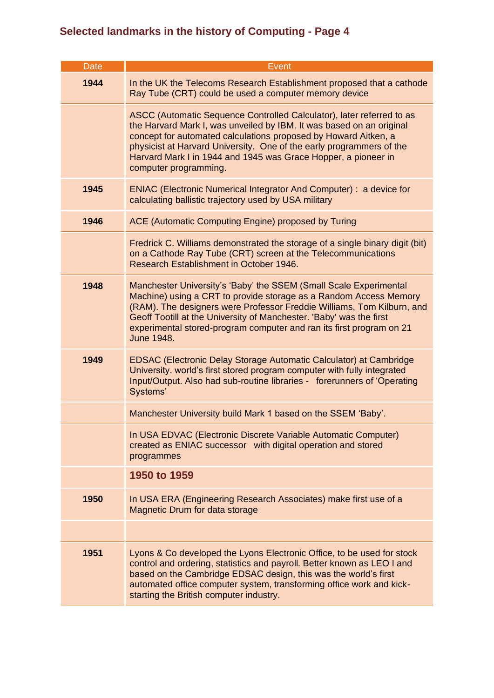| Date | <b>Event</b>                                                                                                                                                                                                                                                                                                                                                                        |
|------|-------------------------------------------------------------------------------------------------------------------------------------------------------------------------------------------------------------------------------------------------------------------------------------------------------------------------------------------------------------------------------------|
| 1944 | In the UK the Telecoms Research Establishment proposed that a cathode<br>Ray Tube (CRT) could be used a computer memory device                                                                                                                                                                                                                                                      |
|      | ASCC (Automatic Sequence Controlled Calculator), later referred to as<br>the Harvard Mark I, was unveiled by IBM. It was based on an original<br>concept for automated calculations proposed by Howard Aitken, a<br>physicist at Harvard University. One of the early programmers of the<br>Harvard Mark I in 1944 and 1945 was Grace Hopper, a pioneer in<br>computer programming. |
| 1945 | <b>ENIAC (Electronic Numerical Integrator And Computer): a device for</b><br>calculating ballistic trajectory used by USA military                                                                                                                                                                                                                                                  |
| 1946 | ACE (Automatic Computing Engine) proposed by Turing                                                                                                                                                                                                                                                                                                                                 |
|      | Fredrick C. Williams demonstrated the storage of a single binary digit (bit)<br>on a Cathode Ray Tube (CRT) screen at the Telecommunications<br>Research Establishment in October 1946.                                                                                                                                                                                             |
| 1948 | Manchester University's 'Baby' the SSEM (Small Scale Experimental<br>Machine) using a CRT to provide storage as a Random Access Memory<br>(RAM). The designers were Professor Freddie Williams, Tom Kilburn, and<br>Geoff Tootill at the University of Manchester. 'Baby' was the first<br>experimental stored-program computer and ran its first program on 21<br>June 1948.       |
| 1949 | <b>EDSAC (Electronic Delay Storage Automatic Calculator) at Cambridge</b><br>University. world's first stored program computer with fully integrated<br>Input/Output. Also had sub-routine libraries - forerunners of 'Operating<br>Systems'                                                                                                                                        |
|      | Manchester University build Mark 1 based on the SSEM 'Baby'.                                                                                                                                                                                                                                                                                                                        |
|      | In USA EDVAC (Electronic Discrete Variable Automatic Computer)<br>created as ENIAC successor with digital operation and stored<br>programmes                                                                                                                                                                                                                                        |
|      | 1950 to 1959                                                                                                                                                                                                                                                                                                                                                                        |
| 1950 | In USA ERA (Engineering Research Associates) make first use of a<br>Magnetic Drum for data storage                                                                                                                                                                                                                                                                                  |
|      |                                                                                                                                                                                                                                                                                                                                                                                     |
| 1951 | Lyons & Co developed the Lyons Electronic Office, to be used for stock<br>control and ordering, statistics and payroll. Better known as LEO I and<br>based on the Cambridge EDSAC design, this was the world's first<br>automated office computer system, transforming office work and kick-<br>starting the British computer industry.                                             |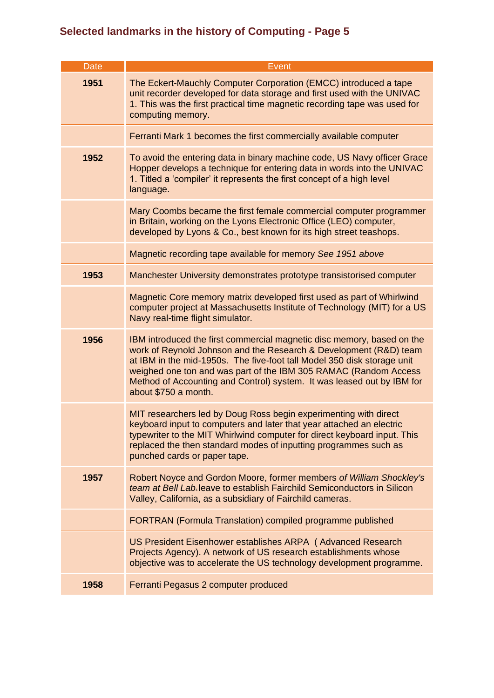| Date | Event                                                                                                                                                                                                                                                                                                                                                                                        |
|------|----------------------------------------------------------------------------------------------------------------------------------------------------------------------------------------------------------------------------------------------------------------------------------------------------------------------------------------------------------------------------------------------|
| 1951 | The Eckert-Mauchly Computer Corporation (EMCC) introduced a tape<br>unit recorder developed for data storage and first used with the UNIVAC<br>1. This was the first practical time magnetic recording tape was used for<br>computing memory.                                                                                                                                                |
|      | Ferranti Mark 1 becomes the first commercially available computer                                                                                                                                                                                                                                                                                                                            |
| 1952 | To avoid the entering data in binary machine code, US Navy officer Grace<br>Hopper develops a technique for entering data in words into the UNIVAC<br>1. Titled a 'compiler' it represents the first concept of a high level<br>language.                                                                                                                                                    |
|      | Mary Coombs became the first female commercial computer programmer<br>in Britain, working on the Lyons Electronic Office (LEO) computer,<br>developed by Lyons & Co., best known for its high street teashops.                                                                                                                                                                               |
|      | Magnetic recording tape available for memory See 1951 above                                                                                                                                                                                                                                                                                                                                  |
| 1953 | Manchester University demonstrates prototype transistorised computer                                                                                                                                                                                                                                                                                                                         |
|      | Magnetic Core memory matrix developed first used as part of Whirlwind<br>computer project at Massachusetts Institute of Technology (MIT) for a US<br>Navy real-time flight simulator.                                                                                                                                                                                                        |
| 1956 | IBM introduced the first commercial magnetic disc memory, based on the<br>work of Reynold Johnson and the Research & Development (R&D) team<br>at IBM in the mid-1950s. The five-foot tall Model 350 disk storage unit<br>weighed one ton and was part of the IBM 305 RAMAC (Random Access<br>Method of Accounting and Control) system. It was leased out by IBM for<br>about \$750 a month. |
|      | MIT researchers led by Doug Ross begin experimenting with direct<br>keyboard input to computers and later that year attached an electric<br>typewriter to the MIT Whirlwind computer for direct keyboard input. This<br>replaced the then standard modes of inputting programmes such as<br>punched cards or paper tape.                                                                     |
| 1957 | Robert Noyce and Gordon Moore, former members of William Shockley's<br>team at Bell Lab leave to establish Fairchild Semiconductors in Silicon<br>Valley, California, as a subsidiary of Fairchild cameras.                                                                                                                                                                                  |
|      | <b>FORTRAN (Formula Translation) compiled programme published</b>                                                                                                                                                                                                                                                                                                                            |
|      | US President Eisenhower establishes ARPA (Advanced Research<br>Projects Agency). A network of US research establishments whose<br>objective was to accelerate the US technology development programme.                                                                                                                                                                                       |
| 1958 | Ferranti Pegasus 2 computer produced                                                                                                                                                                                                                                                                                                                                                         |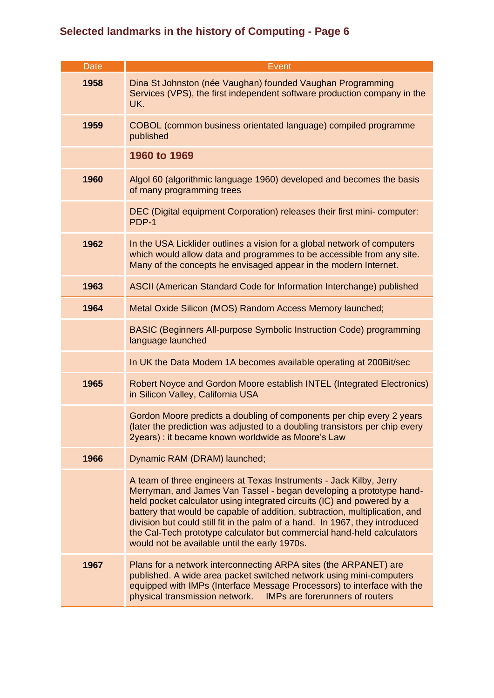| <b>Date</b> | Event                                                                                                                                                                                                                                                                                                                                                                                                                                                                                                         |
|-------------|---------------------------------------------------------------------------------------------------------------------------------------------------------------------------------------------------------------------------------------------------------------------------------------------------------------------------------------------------------------------------------------------------------------------------------------------------------------------------------------------------------------|
| 1958        | Dina St Johnston (née Vaughan) founded Vaughan Programming<br>Services (VPS), the first independent software production company in the<br>UK.                                                                                                                                                                                                                                                                                                                                                                 |
| 1959        | COBOL (common business orientated language) compiled programme<br>published                                                                                                                                                                                                                                                                                                                                                                                                                                   |
|             | 1960 to 1969                                                                                                                                                                                                                                                                                                                                                                                                                                                                                                  |
| 1960        | Algol 60 (algorithmic language 1960) developed and becomes the basis<br>of many programming trees                                                                                                                                                                                                                                                                                                                                                                                                             |
|             | DEC (Digital equipment Corporation) releases their first mini-computer:<br>PDP-1                                                                                                                                                                                                                                                                                                                                                                                                                              |
| 1962        | In the USA Licklider outlines a vision for a global network of computers<br>which would allow data and programmes to be accessible from any site.<br>Many of the concepts he envisaged appear in the modern Internet.                                                                                                                                                                                                                                                                                         |
| 1963        | ASCII (American Standard Code for Information Interchange) published                                                                                                                                                                                                                                                                                                                                                                                                                                          |
| 1964        | Metal Oxide Silicon (MOS) Random Access Memory launched;                                                                                                                                                                                                                                                                                                                                                                                                                                                      |
|             | BASIC (Beginners All-purpose Symbolic Instruction Code) programming<br>language launched                                                                                                                                                                                                                                                                                                                                                                                                                      |
|             | In UK the Data Modem 1A becomes available operating at 200Bit/sec                                                                                                                                                                                                                                                                                                                                                                                                                                             |
| 1965        | Robert Noyce and Gordon Moore establish INTEL (Integrated Electronics)<br>in Silicon Valley, California USA                                                                                                                                                                                                                                                                                                                                                                                                   |
|             | Gordon Moore predicts a doubling of components per chip every 2 years<br>(later the prediction was adjusted to a doubling transistors per chip every<br>2years) : it became known worldwide as Moore's Law                                                                                                                                                                                                                                                                                                    |
| 1966        | Dynamic RAM (DRAM) launched;                                                                                                                                                                                                                                                                                                                                                                                                                                                                                  |
|             | A team of three engineers at Texas Instruments - Jack Kilby, Jerry<br>Merryman, and James Van Tassel - began developing a prototype hand-<br>held pocket calculator using integrated circuits (IC) and powered by a<br>battery that would be capable of addition, subtraction, multiplication, and<br>division but could still fit in the palm of a hand. In 1967, they introduced<br>the Cal-Tech prototype calculator but commercial hand-held calculators<br>would not be available until the early 1970s. |
| 1967        | Plans for a network interconnecting ARPA sites (the ARPANET) are<br>published. A wide area packet switched network using mini-computers<br>equipped with IMPs (Interface Message Processors) to interface with the<br>physical transmission network.  IMPs are forerunners of routers                                                                                                                                                                                                                         |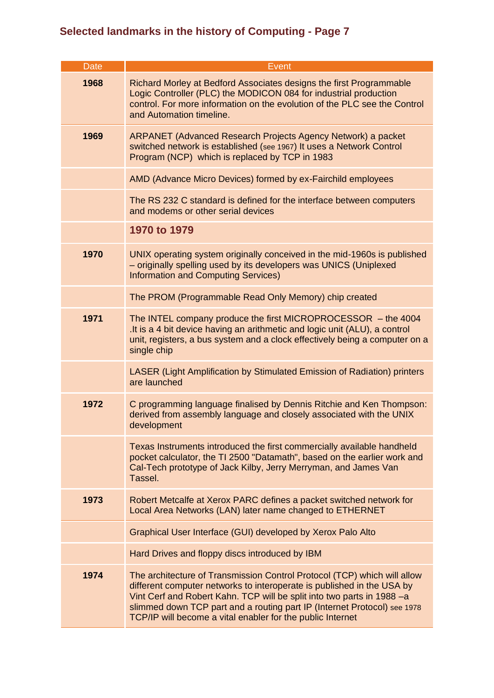| <b>Date</b> | Event                                                                                                                                                                                                                                                                                                                                                                  |
|-------------|------------------------------------------------------------------------------------------------------------------------------------------------------------------------------------------------------------------------------------------------------------------------------------------------------------------------------------------------------------------------|
| 1968        | Richard Morley at Bedford Associates designs the first Programmable<br>Logic Controller (PLC) the MODICON 084 for industrial production<br>control. For more information on the evolution of the PLC see the Control<br>and Automation timeline.                                                                                                                       |
| 1969        | <b>ARPANET (Advanced Research Projects Agency Network) a packet</b><br>switched network is established (see 1967) It uses a Network Control<br>Program (NCP) which is replaced by TCP in 1983                                                                                                                                                                          |
|             | AMD (Advance Micro Devices) formed by ex-Fairchild employees                                                                                                                                                                                                                                                                                                           |
|             | The RS 232 C standard is defined for the interface between computers<br>and modems or other serial devices                                                                                                                                                                                                                                                             |
|             | 1970 to 1979                                                                                                                                                                                                                                                                                                                                                           |
| 1970        | UNIX operating system originally conceived in the mid-1960s is published<br>- originally spelling used by its developers was UNICS (Uniplexed<br><b>Information and Computing Services)</b>                                                                                                                                                                            |
|             | The PROM (Programmable Read Only Memory) chip created                                                                                                                                                                                                                                                                                                                  |
| 1971        | The INTEL company produce the first MICROPROCESSOR - the 4004<br>.It is a 4 bit device having an arithmetic and logic unit (ALU), a control<br>unit, registers, a bus system and a clock effectively being a computer on a<br>single chip                                                                                                                              |
|             | LASER (Light Amplification by Stimulated Emission of Radiation) printers<br>are launched                                                                                                                                                                                                                                                                               |
| 1972        | C programming language finalised by Dennis Ritchie and Ken Thompson:<br>derived from assembly language and closely associated with the UNIX<br>development                                                                                                                                                                                                             |
|             | Texas Instruments introduced the first commercially available handheld<br>pocket calculator, the TI 2500 "Datamath", based on the earlier work and<br>Cal-Tech prototype of Jack Kilby, Jerry Merryman, and James Van<br>Tassel.                                                                                                                                       |
| 1973        | Robert Metcalfe at Xerox PARC defines a packet switched network for<br>Local Area Networks (LAN) later name changed to ETHERNET                                                                                                                                                                                                                                        |
|             | Graphical User Interface (GUI) developed by Xerox Palo Alto                                                                                                                                                                                                                                                                                                            |
|             | Hard Drives and floppy discs introduced by IBM                                                                                                                                                                                                                                                                                                                         |
| 1974        | The architecture of Transmission Control Protocol (TCP) which will allow<br>different computer networks to interoperate is published in the USA by<br>Vint Cerf and Robert Kahn. TCP will be split into two parts in 1988 -a<br>slimmed down TCP part and a routing part IP (Internet Protocol) see 1978<br>TCP/IP will become a vital enabler for the public Internet |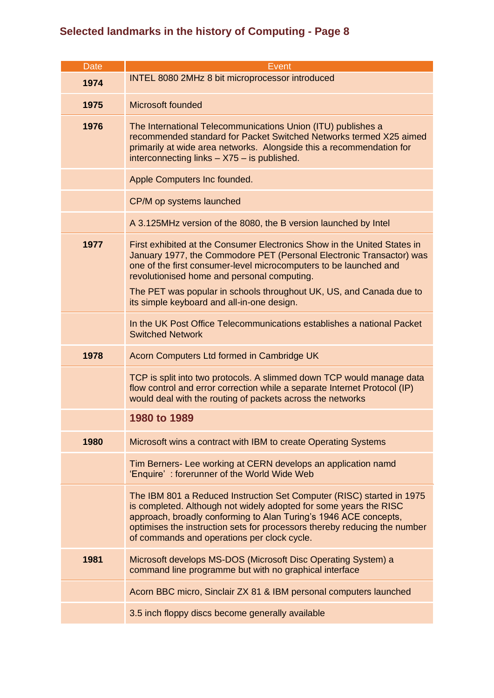| Date<br>1974 | <b>Event</b><br>INTEL 8080 2MHz 8 bit microprocessor introduced                                                                                                                                                                                                                                                                            |
|--------------|--------------------------------------------------------------------------------------------------------------------------------------------------------------------------------------------------------------------------------------------------------------------------------------------------------------------------------------------|
| 1975         | <b>Microsoft founded</b>                                                                                                                                                                                                                                                                                                                   |
| 1976         | The International Telecommunications Union (ITU) publishes a<br>recommended standard for Packet Switched Networks termed X25 aimed<br>primarily at wide area networks. Alongside this a recommendation for<br>interconnecting links - X75 - is published.                                                                                  |
|              | Apple Computers Inc founded.                                                                                                                                                                                                                                                                                                               |
|              | CP/M op systems launched                                                                                                                                                                                                                                                                                                                   |
|              | A 3.125MHz version of the 8080, the B version launched by Intel                                                                                                                                                                                                                                                                            |
| 1977         | First exhibited at the Consumer Electronics Show in the United States in<br>January 1977, the Commodore PET (Personal Electronic Transactor) was<br>one of the first consumer-level microcomputers to be launched and<br>revolutionised home and personal computing.                                                                       |
|              | The PET was popular in schools throughout UK, US, and Canada due to<br>its simple keyboard and all-in-one design.                                                                                                                                                                                                                          |
|              | In the UK Post Office Telecommunications establishes a national Packet<br><b>Switched Network</b>                                                                                                                                                                                                                                          |
| 1978         | Acorn Computers Ltd formed in Cambridge UK                                                                                                                                                                                                                                                                                                 |
|              | TCP is split into two protocols. A slimmed down TCP would manage data<br>flow control and error correction while a separate Internet Protocol (IP)<br>would deal with the routing of packets across the networks                                                                                                                           |
|              | 1980 to 1989                                                                                                                                                                                                                                                                                                                               |
| 1980         | Microsoft wins a contract with IBM to create Operating Systems                                                                                                                                                                                                                                                                             |
|              | Tim Berners- Lee working at CERN develops an application namd<br>'Enquire': forerunner of the World Wide Web                                                                                                                                                                                                                               |
|              | The IBM 801 a Reduced Instruction Set Computer (RISC) started in 1975<br>is completed. Although not widely adopted for some years the RISC<br>approach, broadly conforming to Alan Turing's 1946 ACE concepts,<br>optimises the instruction sets for processors thereby reducing the number<br>of commands and operations per clock cycle. |
| 1981         | Microsoft develops MS-DOS (Microsoft Disc Operating System) a<br>command line programme but with no graphical interface                                                                                                                                                                                                                    |
|              | Acorn BBC micro, Sinclair ZX 81 & IBM personal computers launched                                                                                                                                                                                                                                                                          |
|              | 3.5 inch floppy discs become generally available                                                                                                                                                                                                                                                                                           |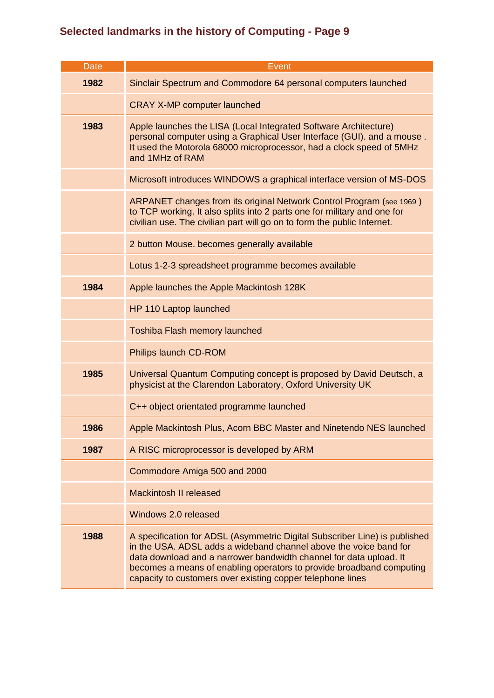| Date | Event                                                                                                                                                                                                                                                                                                                                                       |
|------|-------------------------------------------------------------------------------------------------------------------------------------------------------------------------------------------------------------------------------------------------------------------------------------------------------------------------------------------------------------|
| 1982 | Sinclair Spectrum and Commodore 64 personal computers launched                                                                                                                                                                                                                                                                                              |
|      | <b>CRAY X-MP computer launched</b>                                                                                                                                                                                                                                                                                                                          |
| 1983 | Apple launches the LISA (Local Integrated Software Architecture)<br>personal computer using a Graphical User Interface (GUI). and a mouse.<br>It used the Motorola 68000 microprocessor, had a clock speed of 5MHz<br>and 1MHz of RAM                                                                                                                       |
|      | Microsoft introduces WINDOWS a graphical interface version of MS-DOS                                                                                                                                                                                                                                                                                        |
|      | ARPANET changes from its original Network Control Program (see 1969)<br>to TCP working. It also splits into 2 parts one for military and one for<br>civilian use. The civilian part will go on to form the public Internet.                                                                                                                                 |
|      | 2 button Mouse. becomes generally available                                                                                                                                                                                                                                                                                                                 |
|      | Lotus 1-2-3 spreadsheet programme becomes available                                                                                                                                                                                                                                                                                                         |
| 1984 | Apple launches the Apple Mackintosh 128K                                                                                                                                                                                                                                                                                                                    |
|      | HP 110 Laptop launched                                                                                                                                                                                                                                                                                                                                      |
|      | Toshiba Flash memory launched                                                                                                                                                                                                                                                                                                                               |
|      | Philips launch CD-ROM                                                                                                                                                                                                                                                                                                                                       |
| 1985 | Universal Quantum Computing concept is proposed by David Deutsch, a<br>physicist at the Clarendon Laboratory, Oxford University UK                                                                                                                                                                                                                          |
|      | C++ object orientated programme launched                                                                                                                                                                                                                                                                                                                    |
| 1986 | Apple Mackintosh Plus, Acorn BBC Master and Ninetendo NES launched                                                                                                                                                                                                                                                                                          |
| 1987 | A RISC microprocessor is developed by ARM                                                                                                                                                                                                                                                                                                                   |
|      | Commodore Amiga 500 and 2000                                                                                                                                                                                                                                                                                                                                |
|      | <b>Mackintosh II released</b>                                                                                                                                                                                                                                                                                                                               |
|      | Windows 2.0 released                                                                                                                                                                                                                                                                                                                                        |
| 1988 | A specification for ADSL (Asymmetric Digital Subscriber Line) is published<br>in the USA. ADSL adds a wideband channel above the voice band for<br>data download and a narrower bandwidth channel for data upload. It<br>becomes a means of enabling operators to provide broadband computing<br>capacity to customers over existing copper telephone lines |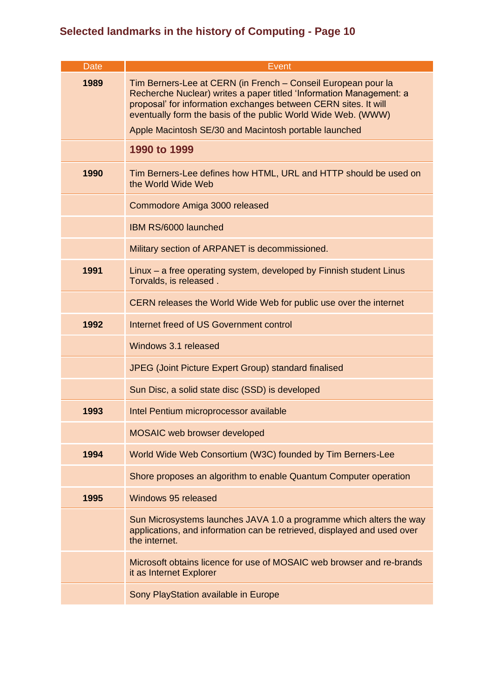| <b>Date</b> | Event                                                                                                                                                                                                                                                                                                                             |
|-------------|-----------------------------------------------------------------------------------------------------------------------------------------------------------------------------------------------------------------------------------------------------------------------------------------------------------------------------------|
| 1989        | Tim Berners-Lee at CERN (in French - Conseil European pour la<br>Recherche Nuclear) writes a paper titled 'Information Management: a<br>proposal' for information exchanges between CERN sites. It will<br>eventually form the basis of the public World Wide Web. (WWW)<br>Apple Macintosh SE/30 and Macintosh portable launched |
|             | 1990 to 1999                                                                                                                                                                                                                                                                                                                      |
| 1990        | Tim Berners-Lee defines how HTML, URL and HTTP should be used on<br>the World Wide Web                                                                                                                                                                                                                                            |
|             | Commodore Amiga 3000 released                                                                                                                                                                                                                                                                                                     |
|             | IBM RS/6000 launched                                                                                                                                                                                                                                                                                                              |
|             | Military section of ARPANET is decommissioned.                                                                                                                                                                                                                                                                                    |
| 1991        | Linux – a free operating system, developed by Finnish student Linus<br>Torvalds, is released.                                                                                                                                                                                                                                     |
|             | CERN releases the World Wide Web for public use over the internet                                                                                                                                                                                                                                                                 |
| 1992        | Internet freed of US Government control                                                                                                                                                                                                                                                                                           |
|             | Windows 3.1 released                                                                                                                                                                                                                                                                                                              |
|             | <b>JPEG (Joint Picture Expert Group) standard finalised</b>                                                                                                                                                                                                                                                                       |
|             | Sun Disc, a solid state disc (SSD) is developed                                                                                                                                                                                                                                                                                   |
| 1993        | Intel Pentium microprocessor available                                                                                                                                                                                                                                                                                            |
|             | <b>MOSAIC</b> web browser developed                                                                                                                                                                                                                                                                                               |
| 1994        | World Wide Web Consortium (W3C) founded by Tim Berners-Lee                                                                                                                                                                                                                                                                        |
|             | Shore proposes an algorithm to enable Quantum Computer operation                                                                                                                                                                                                                                                                  |
| 1995        | Windows 95 released                                                                                                                                                                                                                                                                                                               |
|             | Sun Microsystems launches JAVA 1.0 a programme which alters the way<br>applications, and information can be retrieved, displayed and used over<br>the internet.                                                                                                                                                                   |
|             | Microsoft obtains licence for use of MOSAIC web browser and re-brands<br>it as Internet Explorer                                                                                                                                                                                                                                  |
|             | Sony PlayStation available in Europe                                                                                                                                                                                                                                                                                              |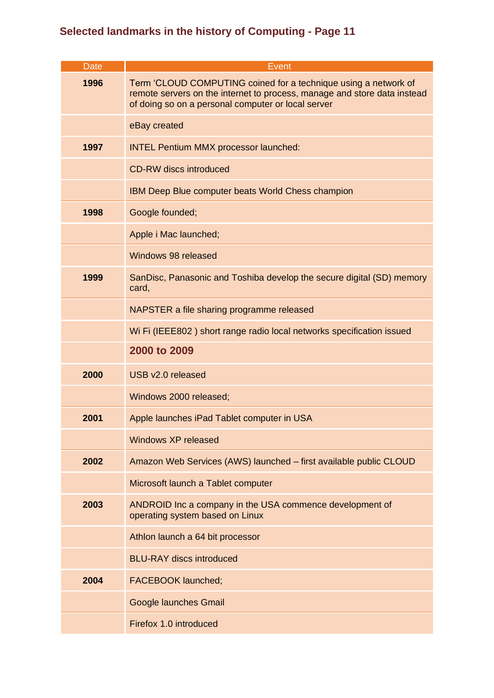| <b>Date</b> | Event                                                                                                                                                                                             |
|-------------|---------------------------------------------------------------------------------------------------------------------------------------------------------------------------------------------------|
| 1996        | Term 'CLOUD COMPUTING coined for a technique using a network of<br>remote servers on the internet to process, manage and store data instead<br>of doing so on a personal computer or local server |
|             | eBay created                                                                                                                                                                                      |
| 1997        | <b>INTEL Pentium MMX processor launched:</b>                                                                                                                                                      |
|             | <b>CD-RW discs introduced</b>                                                                                                                                                                     |
|             | <b>IBM Deep Blue computer beats World Chess champion</b>                                                                                                                                          |
| 1998        | Google founded;                                                                                                                                                                                   |
|             | Apple i Mac launched;                                                                                                                                                                             |
|             | Windows 98 released                                                                                                                                                                               |
| 1999        | SanDisc, Panasonic and Toshiba develop the secure digital (SD) memory<br>card,                                                                                                                    |
|             | NAPSTER a file sharing programme released                                                                                                                                                         |
|             | Wi Fi (IEEE802) short range radio local networks specification issued                                                                                                                             |
|             | 2000 to 2009                                                                                                                                                                                      |
| 2000        | USB v2.0 released                                                                                                                                                                                 |
|             | Windows 2000 released;                                                                                                                                                                            |
| 2001        | Apple launches iPad Tablet computer in USA                                                                                                                                                        |
|             | Windows XP released                                                                                                                                                                               |
| 2002        | Amazon Web Services (AWS) launched - first available public CLOUD                                                                                                                                 |
|             | Microsoft launch a Tablet computer                                                                                                                                                                |
| 2003        | ANDROID Inc a company in the USA commence development of<br>operating system based on Linux                                                                                                       |
|             | Athlon launch a 64 bit processor                                                                                                                                                                  |
|             | <b>BLU-RAY discs introduced</b>                                                                                                                                                                   |
| 2004        | <b>FACEBOOK launched;</b>                                                                                                                                                                         |
|             | Google launches Gmail                                                                                                                                                                             |
|             | Firefox 1.0 introduced                                                                                                                                                                            |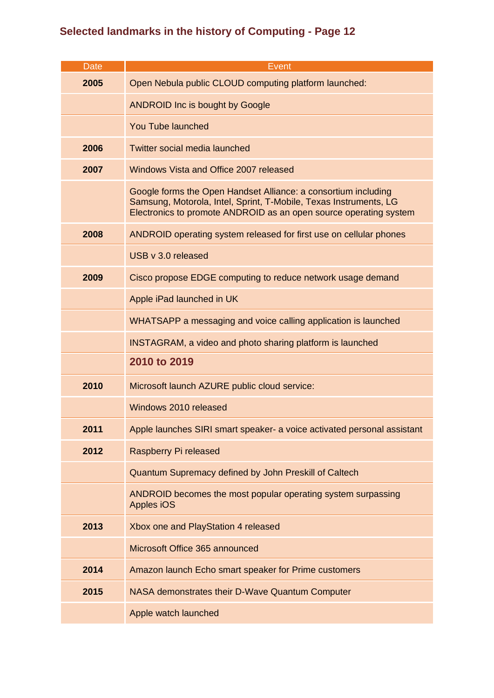| <b>Date</b> | Event                                                                                                                                                                                                    |
|-------------|----------------------------------------------------------------------------------------------------------------------------------------------------------------------------------------------------------|
| 2005        | Open Nebula public CLOUD computing platform launched:                                                                                                                                                    |
|             | <b>ANDROID Inc is bought by Google</b>                                                                                                                                                                   |
|             | <b>You Tube launched</b>                                                                                                                                                                                 |
| 2006        | <b>Twitter social media launched</b>                                                                                                                                                                     |
| 2007        | Windows Vista and Office 2007 released                                                                                                                                                                   |
|             | Google forms the Open Handset Alliance: a consortium including<br>Samsung, Motorola, Intel, Sprint, T-Mobile, Texas Instruments, LG<br>Electronics to promote ANDROID as an open source operating system |
| 2008        | ANDROID operating system released for first use on cellular phones                                                                                                                                       |
|             | USB v 3.0 released                                                                                                                                                                                       |
| 2009        | Cisco propose EDGE computing to reduce network usage demand                                                                                                                                              |
|             | Apple iPad launched in UK                                                                                                                                                                                |
|             | WHATSAPP a messaging and voice calling application is launched                                                                                                                                           |
|             | <b>INSTAGRAM, a video and photo sharing platform is launched</b>                                                                                                                                         |
|             | 2010 to 2019                                                                                                                                                                                             |
| 2010        | Microsoft launch AZURE public cloud service:                                                                                                                                                             |
|             | Windows 2010 released                                                                                                                                                                                    |
| 2011        | Apple launches SIRI smart speaker- a voice activated personal assistant                                                                                                                                  |
| 2012        | Raspberry Pi released                                                                                                                                                                                    |
|             | Quantum Supremacy defined by John Preskill of Caltech                                                                                                                                                    |
|             | ANDROID becomes the most popular operating system surpassing<br>Apples iOS                                                                                                                               |
| 2013        | Xbox one and PlayStation 4 released                                                                                                                                                                      |
|             | Microsoft Office 365 announced                                                                                                                                                                           |
| 2014        | Amazon launch Echo smart speaker for Prime customers                                                                                                                                                     |
| 2015        | NASA demonstrates their D-Wave Quantum Computer                                                                                                                                                          |
|             | Apple watch launched                                                                                                                                                                                     |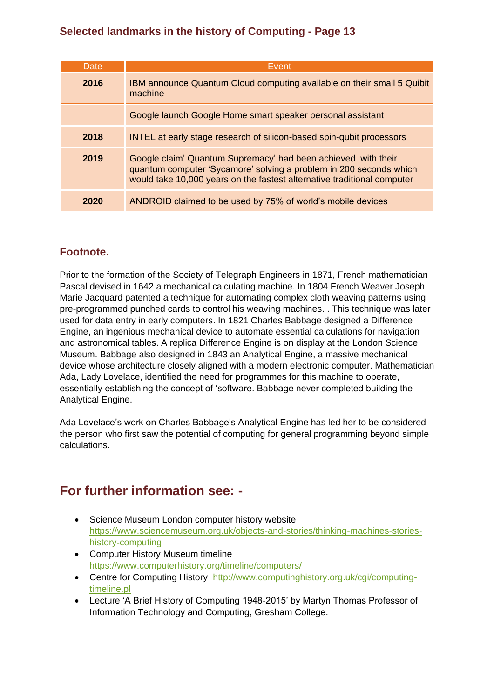| Date | Event                                                                                                                                                                                                          |
|------|----------------------------------------------------------------------------------------------------------------------------------------------------------------------------------------------------------------|
| 2016 | IBM announce Quantum Cloud computing available on their small 5 Quibit<br>machine                                                                                                                              |
|      | Google launch Google Home smart speaker personal assistant                                                                                                                                                     |
| 2018 | <b>INTEL at early stage research of silicon-based spin-qubit processors</b>                                                                                                                                    |
| 2019 | Google claim' Quantum Supremacy' had been achieved with their<br>quantum computer 'Sycamore' solving a problem in 200 seconds which<br>would take 10,000 years on the fastest alternative traditional computer |
| 2020 | ANDROID claimed to be used by 75% of world's mobile devices                                                                                                                                                    |

#### **Footnote.**

Prior to the formation of the Society of Telegraph Engineers in 1871, French mathematician Pascal devised in 1642 a mechanical calculating machine. In 1804 French Weaver Joseph Marie Jacquard patented a technique for automating complex cloth weaving patterns using pre-programmed punched cards to control his weaving machines. . This technique was later used for data entry in early computers. In 1821 Charles Babbage designed a Difference Engine, an ingenious mechanical device to automate essential calculations for navigation and astronomical tables. A replica Difference Engine is on display at the London Science Museum. Babbage also designed in 1843 an Analytical Engine, a massive mechanical device whose architecture closely aligned with a modern electronic computer. Mathematician Ada, Lady Lovelace, identified the need for programmes for this machine to operate, essentially establishing the concept of 'software. Babbage never completed building the Analytical Engine.

Ada Lovelace's work on Charles Babbage's Analytical Engine has led her to be considered the person who first saw the potential of computing for general programming beyond simple calculations.

#### **For further information see: -**

- Science Museum London computer history website [https://www.sciencemuseum.org.uk/objects-and-stories/thinking-machines-stories](https://www.sciencemuseum.org.uk/objects-and-stories/thinking-machines-stories-history-computing)[history-computing](https://www.sciencemuseum.org.uk/objects-and-stories/thinking-machines-stories-history-computing)
- Computer History Museum timeline <https://www.computerhistory.org/timeline/computers/>
- Centre for Computing History [http://www.computinghistory.org.uk/cgi/computing](http://www.computinghistory.org.uk/cgi/computing-timeline.pl)[timeline.pl](http://www.computinghistory.org.uk/cgi/computing-timeline.pl)
- Lecture 'A Brief History of Computing 1948-2015' by Martyn Thomas Professor of Information Technology and Computing, Gresham College.